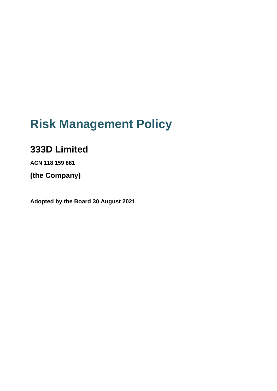# **Risk Management Policy**

## **333D Limited**

**ACN 118 159 881**

**(the Company)**

**Adopted by the Board 30 August 2021**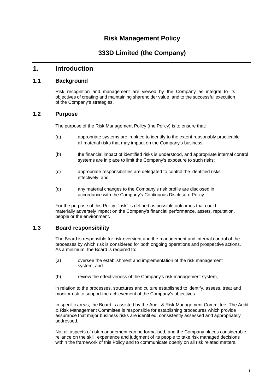## **Risk Management Policy**

## **333D Limited (the Company)**

## **1. Introduction**

#### **1.1 Background**

Risk recognition and management are viewed by the Company as integral to its objectives of creating and maintaining shareholder value, and to the successful execution of the Company's strategies.

#### **1.2 Purpose**

The purpose of the Risk Management Policy (the Policy) is to ensure that:

- (a) appropriate systems are in place to identify to the extent reasonably practicable all material risks that may impact on the Company's business;
- (b) the financial impact of identified risks is understood, and appropriate internal control systems are in place to limit the Company's exposure to such risks;
- (c) appropriate responsibilities are delegated to control the identified risks effectively; and
- (d) any material changes to the Company's risk profile are disclosed in accordance with the Company's Continuous Disclosure Policy.

For the purpose of this Policy, "risk" is defined as possible outcomes that could materially adversely impact on the Company's financial performance, assets, reputation, people or the environment.

#### **1.3 Board responsibility**

The Board is responsible for risk oversight and the management and internal control of the processes by which risk is considered for both ongoing operations and prospective actions. As a minimum, the Board is required to:

- (a) oversee the establishment and implementation of the risk management system; and
- (b) review the effectiveness of the Company's risk management system,

in relation to the processes, structures and culture established to identify, assess, treat and monitor risk to support the achievement of the Company's objectives.

In specific areas, the Board is assisted by the Audit & Risk Management Committee. The Audit & Risk Management Committee is responsible for establishing procedures which provide assurance that major business risks are identified, consistently assessed and appropriately addressed.

Not all aspects of risk management can be formalised, and the Company places considerable reliance on the skill, experience and judgment of its people to take risk managed decisions within the framework of this Policy and to communicate openly on all risk related matters.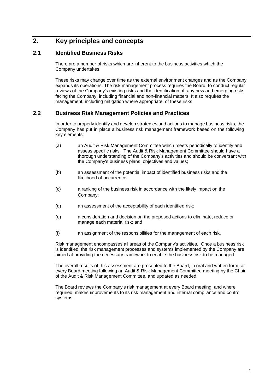## **2. Key principles and concepts**

## **2.1 Identified Business Risks**

There are a number of risks which are inherent to the business activities which the Company undertakes.

These risks may change over time as the external environment changes and as the Company expands its operations. The risk management process requires the Board to conduct regular reviews of the Company's existing risks and the identification of any new and emerging risks facing the Company, including financial and non-financial matters. It also requires the management, including mitigation where appropriate, of these risks.

## **2.2 Business Risk Management Policies and Practices**

In order to properly identify and develop strategies and actions to manage business risks, the Company has put in place a business risk management framework based on the following key elements:

- (a) an Audit & Risk Management Committee which meets periodically to identify and assess specific risks. The Audit & Risk Management Committee should have a thorough understanding of the Company's activities and should be conversant with the Company's business plans, objectives and values;
- (b) an assessment of the potential impact of identified business risks and the likelihood of occurrence;
- (c) a ranking of the business risk in accordance with the likely impact on the Company;
- (d) an assessment of the acceptability of each identified risk;
- (e) a consideration and decision on the proposed actions to eliminate, reduce or manage each material risk; and
- (f) an assignment of the responsibilities for the management of each risk.

Risk management encompasses all areas of the Company's activities. Once a business risk is identified, the risk management processes and systems implemented by the Company are aimed at providing the necessary framework to enable the business risk to be managed.

The overall results of this assessment are presented to the Board, in oral and written form, at every Board meeting following an Audit & Risk Management Committee meeting by the Chair of the Audit & Risk Management Committee, and updated as needed.

The Board reviews the Company's risk management at every Board meeting, and where required, makes improvements to its risk management and internal compliance and control systems.